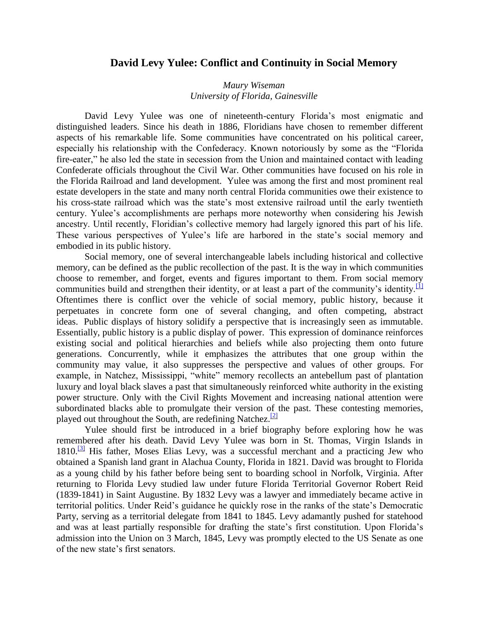## **David Levy Yulee: Conflict and Continuity in Social Memory**

## *Maury Wiseman University of Florida, Gainesville*

David Levy Yulee was one of nineteenth-century Florida's most enigmatic and distinguished leaders. Since his death in 1886, Floridians have chosen to remember different aspects of his remarkable life. Some communities have concentrated on his political career, especially his relationship with the Confederacy. Known notoriously by some as the "Florida fire-eater," he also led the state in secession from the Union and maintained contact with leading Confederate officials throughout the Civil War. Other communities have focused on his role in the Florida Railroad and land development. Yulee was among the first and most prominent real estate developers in the state and many north central Florida communities owe their existence to his cross-state railroad which was the state's most extensive railroad until the early twentieth century. Yulee's accomplishments are perhaps more noteworthy when considering his Jewish ancestry. Until recently, Floridian's collective memory had largely ignored this part of his life. These various perspectives of Yulee's life are harbored in the state's social memory and embodied in its public history.

Social memory, one of several interchangeable labels including historical and collective memory, can be defined as the public recollection of the past. It is the way in which communities choose to remember, and forget, events and figures important to them. From social memory communities build and strengthen their identity, or at least a part of the community's identity.<sup>[\[1\]](http://fch.ju.edu/FCH-2006/Wiseman-David%20Levy%20Yulee.htm#_edn1)</sup> Oftentimes there is conflict over the vehicle of social memory, public history, because it perpetuates in concrete form one of several changing, and often competing, abstract ideas. Public displays of history solidify a perspective that is increasingly seen as immutable. Essentially, public history is a public display of power. This expression of dominance reinforces existing social and political hierarchies and beliefs while also projecting them onto future generations. Concurrently, while it emphasizes the attributes that one group within the community may value, it also suppresses the perspective and values of other groups. For example, in Natchez, Mississippi, "white" memory recollects an antebellum past of plantation luxury and loyal black slaves a past that simultaneously reinforced white authority in the existing power structure. Only with the Civil Rights Movement and increasing national attention were subordinated blacks able to promulgate their version of the past. These contesting memories, played out throughout the South, are redefining Natchez.<sup>[\[2\]](http://fch.ju.edu/FCH-2006/Wiseman-David%20Levy%20Yulee.htm#_edn2)</sup>

Yulee should first be introduced in a brief biography before exploring how he was remembered after his death. David Levy Yulee was born in St. Thomas, Virgin Islands in  $1810$ .<sup>[\[3\]](http://fch.ju.edu/FCH-2006/Wiseman-David%20Levy%20Yulee.htm#_edn3)</sup> His father, Moses Elias Levy, was a successful merchant and a practicing Jew who obtained a Spanish land grant in Alachua County, Florida in 1821. David was brought to Florida as a young child by his father before being sent to boarding school in Norfolk, Virginia. After returning to Florida Levy studied law under future Florida Territorial Governor Robert Reid (1839-1841) in Saint Augustine. By 1832 Levy was a lawyer and immediately became active in territorial politics. Under Reid's guidance he quickly rose in the ranks of the state's Democratic Party, serving as a territorial delegate from 1841 to 1845. Levy adamantly pushed for statehood and was at least partially responsible for drafting the state's first constitution. Upon Florida's admission into the Union on 3 March, 1845, Levy was promptly elected to the US Senate as one of the new state's first senators.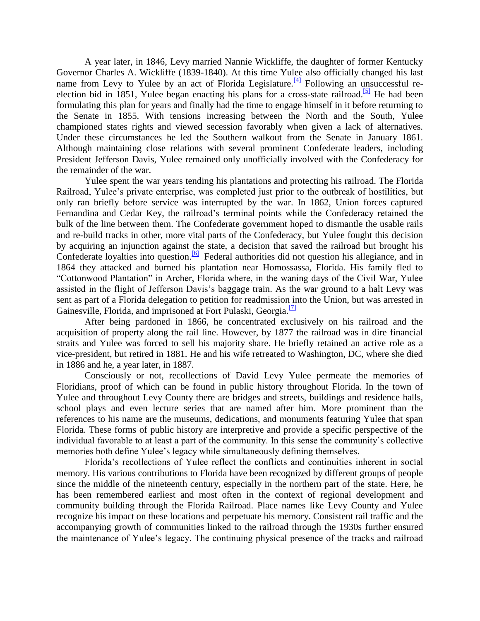A year later, in 1846, Levy married Nannie Wickliffe, the daughter of former Kentucky Governor Charles A. Wickliffe (1839-1840). At this time Yulee also officially changed his last name from Levy to Yulee by an act of Florida Legislature.<sup>[\[4\]](http://fch.ju.edu/FCH-2006/Wiseman-David%20Levy%20Yulee.htm#_edn4)</sup> Following an unsuccessful re-election bid in 1851, Yulee began enacting his plans for a cross-state railroad.<sup>[\[5\]](http://fch.ju.edu/FCH-2006/Wiseman-David%20Levy%20Yulee.htm#_edn5)</sup> He had been formulating this plan for years and finally had the time to engage himself in it before returning to the Senate in 1855. With tensions increasing between the North and the South, Yulee championed states rights and viewed secession favorably when given a lack of alternatives. Under these circumstances he led the Southern walkout from the Senate in January 1861. Although maintaining close relations with several prominent Confederate leaders, including President Jefferson Davis, Yulee remained only unofficially involved with the Confederacy for the remainder of the war.

Yulee spent the war years tending his plantations and protecting his railroad. The Florida Railroad, Yulee's private enterprise, was completed just prior to the outbreak of hostilities, but only ran briefly before service was interrupted by the war. In 1862, Union forces captured Fernandina and Cedar Key, the railroad's terminal points while the Confederacy retained the bulk of the line between them. The Confederate government hoped to dismantle the usable rails and re-build tracks in other, more vital parts of the Confederacy, but Yulee fought this decision by acquiring an injunction against the state, a decision that saved the railroad but brought his Confederate loyalties into question.<sup>[\[6\]](http://fch.ju.edu/FCH-2006/Wiseman-David%20Levy%20Yulee.htm#_edn6)</sup> Federal authorities did not question his allegiance, and in 1864 they attacked and burned his plantation near Homossassa, Florida. His family fled to "Cottonwood Plantation" in Archer, Florida where, in the waning days of the Civil War, Yulee assisted in the flight of Jefferson Davis's baggage train. As the war ground to a halt Levy was sent as part of a Florida delegation to petition for readmission into the Union, but was arrested in Gainesville, Florida, and imprisoned at Fort Pulaski, Georgia.<sup>[\[7\]](http://fch.ju.edu/FCH-2006/Wiseman-David%20Levy%20Yulee.htm#_edn7)</sup>

After being pardoned in 1866, he concentrated exclusively on his railroad and the acquisition of property along the rail line. However, by 1877 the railroad was in dire financial straits and Yulee was forced to sell his majority share. He briefly retained an active role as a vice-president, but retired in 1881. He and his wife retreated to Washington, DC, where she died in 1886 and he, a year later, in 1887.

Consciously or not, recollections of David Levy Yulee permeate the memories of Floridians, proof of which can be found in public history throughout Florida. In the town of Yulee and throughout Levy County there are bridges and streets, buildings and residence halls, school plays and even lecture series that are named after him. More prominent than the references to his name are the museums, dedications, and monuments featuring Yulee that span Florida. These forms of public history are interpretive and provide a specific perspective of the individual favorable to at least a part of the community. In this sense the community's collective memories both define Yulee's legacy while simultaneously defining themselves.

Florida's recollections of Yulee reflect the conflicts and continuities inherent in social memory. His various contributions to Florida have been recognized by different groups of people since the middle of the nineteenth century, especially in the northern part of the state. Here, he has been remembered earliest and most often in the context of regional development and community building through the Florida Railroad. Place names like Levy County and Yulee recognize his impact on these locations and perpetuate his memory. Consistent rail traffic and the accompanying growth of communities linked to the railroad through the 1930s further ensured the maintenance of Yulee's legacy. The continuing physical presence of the tracks and railroad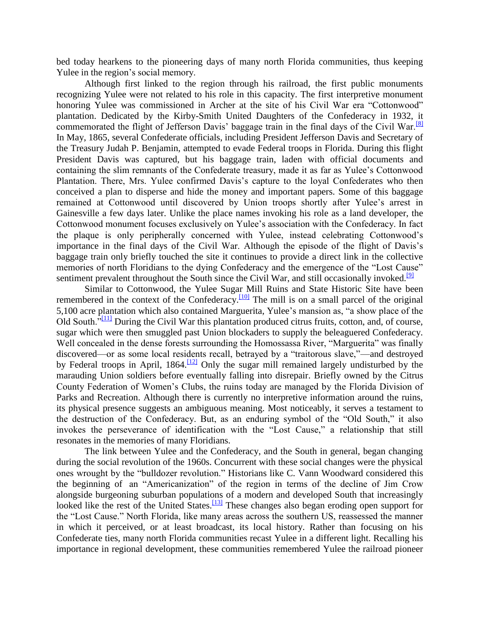bed today hearkens to the pioneering days of many north Florida communities, thus keeping Yulee in the region's social memory.

Although first linked to the region through his railroad, the first public monuments recognizing Yulee were not related to his role in this capacity. The first interpretive monument honoring Yulee was commissioned in Archer at the site of his Civil War era "Cottonwood" plantation. Dedicated by the Kirby-Smith United Daughters of the Confederacy in 1932, it commemorated the flight of Jefferson Davis' baggage train in the final days of the Civil War.<sup>[\[8\]](http://fch.ju.edu/FCH-2006/Wiseman-David%20Levy%20Yulee.htm#_edn8)</sup> In May, 1865, several Confederate officials, including President Jefferson Davis and Secretary of the Treasury Judah P. Benjamin, attempted to evade Federal troops in Florida. During this flight President Davis was captured, but his baggage train, laden with official documents and containing the slim remnants of the Confederate treasury, made it as far as Yulee's Cottonwood Plantation. There, Mrs. Yulee confirmed Davis's capture to the loyal Confederates who then conceived a plan to disperse and hide the money and important papers. Some of this baggage remained at Cottonwood until discovered by Union troops shortly after Yulee's arrest in Gainesville a few days later. Unlike the place names invoking his role as a land developer, the Cottonwood monument focuses exclusively on Yulee's association with the Confederacy. In fact the plaque is only peripherally concerned with Yulee, instead celebrating Cottonwood's importance in the final days of the Civil War. Although the episode of the flight of Davis's baggage train only briefly touched the site it continues to provide a direct link in the collective memories of north Floridians to the dying Confederacy and the emergence of the "Lost Cause" sentiment prevalent throughout the South since the Civil War, and still occasionally invoked.<sup>[\[9\]](http://fch.ju.edu/FCH-2006/Wiseman-David%20Levy%20Yulee.htm#_edn9)</sup>

Similar to Cottonwood, the Yulee Sugar Mill Ruins and State Historic Site have been remembered in the context of the Confederacy.<sup>[\[10\]](http://fch.ju.edu/FCH-2006/Wiseman-David%20Levy%20Yulee.htm#_edn10)</sup> The mill is on a small parcel of the original 5,100 acre plantation which also contained Marguerita, Yulee's mansion as, "a show place of the Old South."<sup>[\[11\]](http://fch.ju.edu/FCH-2006/Wiseman-David%20Levy%20Yulee.htm#_edn11)</sup> During the Civil War this plantation produced citrus fruits, cotton, and, of course, sugar which were then smuggled past Union blockaders to supply the beleaguered Confederacy. Well concealed in the dense forests surrounding the Homossassa River, "Marguerita" was finally discovered—or as some local residents recall, betrayed by a "traitorous slave,"—and destroyed by Federal troops in April, 1864.<sup>[\[12\]](http://fch.ju.edu/FCH-2006/Wiseman-David%20Levy%20Yulee.htm#_edn12)</sup> Only the sugar mill remained largely undisturbed by the marauding Union soldiers before eventually falling into disrepair. Briefly owned by the Citrus County Federation of Women's Clubs, the ruins today are managed by the Florida Division of Parks and Recreation. Although there is currently no interpretive information around the ruins, its physical presence suggests an ambiguous meaning. Most noticeably, it serves a testament to the destruction of the Confederacy. But, as an enduring symbol of the "Old South," it also invokes the perseverance of identification with the "Lost Cause," a relationship that still resonates in the memories of many Floridians.

The link between Yulee and the Confederacy, and the South in general, began changing during the social revolution of the 1960s. Concurrent with these social changes were the physical ones wrought by the "bulldozer revolution." Historians like C. Vann Woodward considered this the beginning of an "Americanization" of the region in terms of the decline of Jim Crow alongside burgeoning suburban populations of a modern and developed South that increasingly looked like the rest of the United States.<sup>[\[13\]](http://fch.ju.edu/FCH-2006/Wiseman-David%20Levy%20Yulee.htm#_edn13)</sup> These changes also began eroding open support for the "Lost Cause." North Florida, like many areas across the southern US, reassessed the manner in which it perceived, or at least broadcast, its local history. Rather than focusing on his Confederate ties, many north Florida communities recast Yulee in a different light. Recalling his importance in regional development, these communities remembered Yulee the railroad pioneer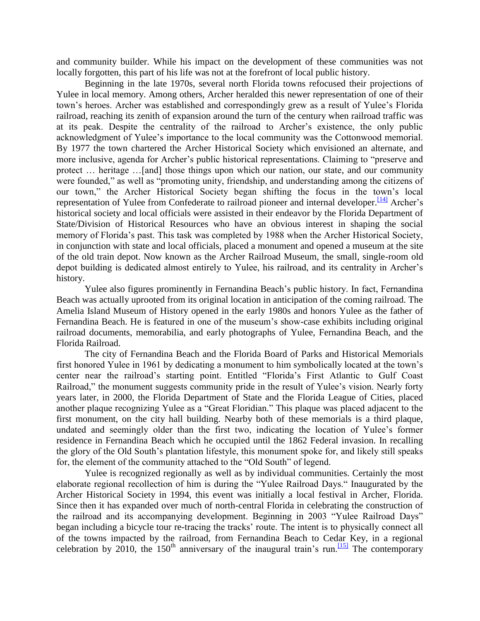and community builder. While his impact on the development of these communities was not locally forgotten, this part of his life was not at the forefront of local public history.

Beginning in the late 1970s, several north Florida towns refocused their projections of Yulee in local memory. Among others, Archer heralded this newer representation of one of their town's heroes. Archer was established and correspondingly grew as a result of Yulee's Florida railroad, reaching its zenith of expansion around the turn of the century when railroad traffic was at its peak. Despite the centrality of the railroad to Archer's existence, the only public acknowledgment of Yulee's importance to the local community was the Cottonwood memorial. By 1977 the town chartered the Archer Historical Society which envisioned an alternate, and more inclusive, agenda for Archer's public historical representations. Claiming to "preserve and protect … heritage …[and] those things upon which our nation, our state, and our community were founded," as well as "promoting unity, friendship, and understanding among the citizens of our town," the Archer Historical Society began shifting the focus in the town's local representation of Yulee from Confederate to railroad pioneer and internal developer.<sup>[\[14\]](http://fch.ju.edu/FCH-2006/Wiseman-David%20Levy%20Yulee.htm#_edn14)</sup> Archer's historical society and local officials were assisted in their endeavor by the Florida Department of State/Division of Historical Resources who have an obvious interest in shaping the social memory of Florida's past. This task was completed by 1988 when the Archer Historical Society, in conjunction with state and local officials, placed a monument and opened a museum at the site of the old train depot. Now known as the Archer Railroad Museum, the small, single-room old depot building is dedicated almost entirely to Yulee, his railroad, and its centrality in Archer's history.

Yulee also figures prominently in Fernandina Beach's public history. In fact, Fernandina Beach was actually uprooted from its original location in anticipation of the coming railroad. The Amelia Island Museum of History opened in the early 1980s and honors Yulee as the father of Fernandina Beach. He is featured in one of the museum's show-case exhibits including original railroad documents, memorabilia, and early photographs of Yulee, Fernandina Beach, and the Florida Railroad.

The city of Fernandina Beach and the Florida Board of Parks and Historical Memorials first honored Yulee in 1961 by dedicating a monument to him symbolically located at the town's center near the railroad's starting point. Entitled "Florida's First Atlantic to Gulf Coast Railroad," the monument suggests community pride in the result of Yulee's vision. Nearly forty years later, in 2000, the Florida Department of State and the Florida League of Cities, placed another plaque recognizing Yulee as a "Great Floridian." This plaque was placed adjacent to the first monument, on the city hall building. Nearby both of these memorials is a third plaque, undated and seemingly older than the first two, indicating the location of Yulee's former residence in Fernandina Beach which he occupied until the 1862 Federal invasion. In recalling the glory of the Old South's plantation lifestyle, this monument spoke for, and likely still speaks for, the element of the community attached to the "Old South" of legend.

Yulee is recognized regionally as well as by individual communities. Certainly the most elaborate regional recollection of him is during the "Yulee Railroad Days." Inaugurated by the Archer Historical Society in 1994, this event was initially a local festival in Archer, Florida. Since then it has expanded over much of north-central Florida in celebrating the construction of the railroad and its accompanying development. Beginning in 2003 "Yulee Railroad Days" began including a bicycle tour re-tracing the tracks' route. The intent is to physically connect all of the towns impacted by the railroad, from Fernandina Beach to Cedar Key, in a regional celebration by 2010, the 150<sup>th</sup> anniversary of the inaugural train's run.<sup>[\[15\]](http://fch.ju.edu/FCH-2006/Wiseman-David%20Levy%20Yulee.htm#_edn15)</sup> The contemporary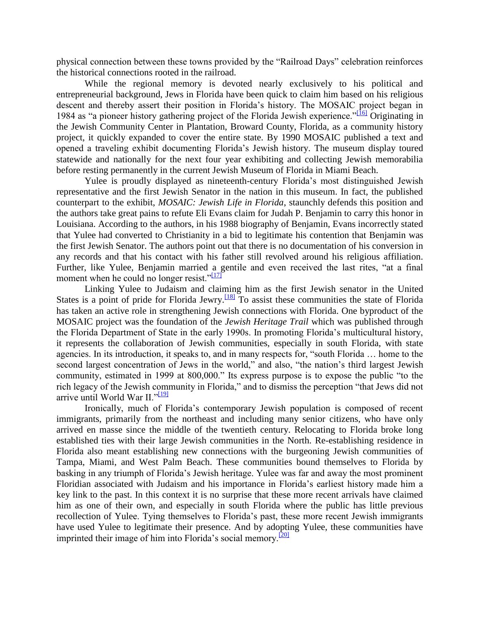physical connection between these towns provided by the "Railroad Days" celebration reinforces the historical connections rooted in the railroad.

While the regional memory is devoted nearly exclusively to his political and entrepreneurial background, Jews in Florida have been quick to claim him based on his religious descent and thereby assert their position in Florida's history. The MOSAIC project began in 1984 as "a pioneer history gathering project of the Florida Jewish experience."<sup>[\[16\]](http://fch.ju.edu/FCH-2006/Wiseman-David%20Levy%20Yulee.htm#_edn16)</sup> Originating in the Jewish Community Center in Plantation, Broward County, Florida, as a community history project, it quickly expanded to cover the entire state. By 1990 MOSAIC published a text and opened a traveling exhibit documenting Florida's Jewish history. The museum display toured statewide and nationally for the next four year exhibiting and collecting Jewish memorabilia before resting permanently in the current Jewish Museum of Florida in Miami Beach.

Yulee is proudly displayed as nineteenth-century Florida's most distinguished Jewish representative and the first Jewish Senator in the nation in this museum. In fact, the published counterpart to the exhibit, *MOSAIC: Jewish Life in Florida*, staunchly defends this position and the authors take great pains to refute Eli Evans claim for Judah P. Benjamin to carry this honor in Louisiana. According to the authors, in his 1988 biography of Benjamin, Evans incorrectly stated that Yulee had converted to Christianity in a bid to legitimate his contention that Benjamin was the first Jewish Senator. The authors point out that there is no documentation of his conversion in any records and that his contact with his father still revolved around his religious affiliation. Further, like Yulee, Benjamin married a gentile and even received the last rites, "at a final moment when he could no longer resist." $[17]$ 

Linking Yulee to Judaism and claiming him as the first Jewish senator in the United States is a point of pride for Florida Jewry.<sup>[\[18\]](http://fch.ju.edu/FCH-2006/Wiseman-David%20Levy%20Yulee.htm#_edn18)</sup> To assist these communities the state of Florida has taken an active role in strengthening Jewish connections with Florida. One byproduct of the MOSAIC project was the foundation of the *Jewish Heritage Trail* which was published through the Florida Department of State in the early 1990s. In promoting Florida's multicultural history, it represents the collaboration of Jewish communities, especially in south Florida, with state agencies. In its introduction, it speaks to, and in many respects for, "south Florida … home to the second largest concentration of Jews in the world," and also, "the nation's third largest Jewish community, estimated in 1999 at 800,000." Its express purpose is to expose the public "to the rich legacy of the Jewish community in Florida," and to dismiss the perception "that Jews did not arrive until World War II."<sup>[\[19\]](http://fch.ju.edu/FCH-2006/Wiseman-David%20Levy%20Yulee.htm#_edn19)</sup>

Ironically, much of Florida's contemporary Jewish population is composed of recent immigrants, primarily from the northeast and including many senior citizens, who have only arrived en masse since the middle of the twentieth century. Relocating to Florida broke long established ties with their large Jewish communities in the North. Re-establishing residence in Florida also meant establishing new connections with the burgeoning Jewish communities of Tampa, Miami, and West Palm Beach. These communities bound themselves to Florida by basking in any triumph of Florida's Jewish heritage. Yulee was far and away the most prominent Floridian associated with Judaism and his importance in Florida's earliest history made him a key link to the past. In this context it is no surprise that these more recent arrivals have claimed him as one of their own, and especially in south Florida where the public has little previous recollection of Yulee. Tying themselves to Florida's past, these more recent Jewish immigrants have used Yulee to legitimate their presence. And by adopting Yulee, these communities have imprinted their image of him into Florida's social memory.<sup>[\[20\]](http://fch.ju.edu/FCH-2006/Wiseman-David%20Levy%20Yulee.htm#_edn20)</sup>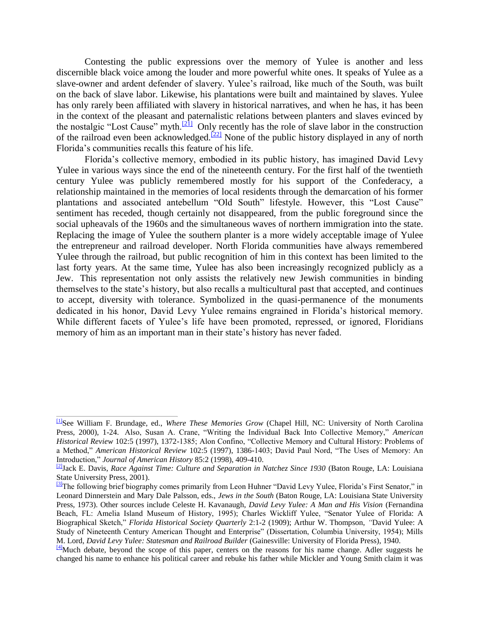Contesting the public expressions over the memory of Yulee is another and less discernible black voice among the louder and more powerful white ones. It speaks of Yulee as a slave-owner and ardent defender of slavery. Yulee's railroad, like much of the South, was built on the back of slave labor. Likewise, his plantations were built and maintained by slaves. Yulee has only rarely been affiliated with slavery in historical narratives, and when he has, it has been in the context of the pleasant and paternalistic relations between planters and slaves evinced by the nostalgic "Lost Cause" myth.<sup>[\[21\]](http://fch.ju.edu/FCH-2006/Wiseman-David%20Levy%20Yulee.htm#_edn21)</sup> Only recently has the role of slave labor in the construction of the railroad even been acknowledged.<sup>[\[22\]](http://fch.ju.edu/FCH-2006/Wiseman-David%20Levy%20Yulee.htm#_edn22)</sup> None of the public history displayed in any of north Florida's communities recalls this feature of his life.

Florida's collective memory, embodied in its public history, has imagined David Levy Yulee in various ways since the end of the nineteenth century. For the first half of the twentieth century Yulee was publicly remembered mostly for his support of the Confederacy, a relationship maintained in the memories of local residents through the demarcation of his former plantations and associated antebellum "Old South" lifestyle. However, this "Lost Cause" sentiment has receded, though certainly not disappeared, from the public foreground since the social upheavals of the 1960s and the simultaneous waves of northern immigration into the state. Replacing the image of Yulee the southern planter is a more widely acceptable image of Yulee the entrepreneur and railroad developer. North Florida communities have always remembered Yulee through the railroad, but public recognition of him in this context has been limited to the last forty years. At the same time, Yulee has also been increasingly recognized publicly as a Jew. This representation not only assists the relatively new Jewish communities in binding themselves to the state's history, but also recalls a multicultural past that accepted, and continues to accept, diversity with tolerance. Symbolized in the quasi-permanence of the monuments dedicated in his honor, David Levy Yulee remains engrained in Florida's historical memory. While different facets of Yulee's life have been promoted, repressed, or ignored, Floridians memory of him as an important man in their state's history has never faded.

[<sup>\[1\]</sup>](http://fch.ju.edu/FCH-2006/Wiseman-David%20Levy%20Yulee.htm#_ednref1)See William F. Brundage, ed., *Where These Memories Grow* (Chapel Hill, NC: University of North Carolina Press, 2000), 1-24. Also, Susan A. Crane, "Writing the Individual Back Into Collective Memory," *American Historical Review* 102:5 (1997), 1372-1385; Alon Confino, "Collective Memory and Cultural History: Problems of a Method," *American Historical Review* 102:5 (1997), 1386-1403; David Paul Nord, "The Uses of Memory: An Introduction," *Journal of American History* 85:2 (1998), 409-410.

[<sup>\[2\]</sup>](http://fch.ju.edu/FCH-2006/Wiseman-David%20Levy%20Yulee.htm#_ednref2)Jack E. Davis, *Race Against Time: Culture and Separation in Natchez Since 1930* (Baton Rouge, LA: Louisiana State University Press, 2001).

<sup>&</sup>lt;sup>[\[3\]](http://fch.ju.edu/FCH-2006/Wiseman-David%20Levy%20Yulee.htm#_ednref3)</sup>The following brief biography comes primarily from Leon Huhner "David Levy Yulee, Florida's First Senator," in Leonard Dinnerstein and Mary Dale Palsson, eds., *Jews in the South* (Baton Rouge, LA: Louisiana State University Press, 1973). Other sources include Celeste H. Kavanaugh, *David Levy Yulee: A Man and His Vision* (Fernandina Beach, FL: Amelia Island Museum of History, 1995); Charles Wickliff Yulee, "Senator Yulee of Florida: A Biographical Sketch," *Florida Historical Society Quarterly* 2:1-2 (1909); Arthur W. Thompson, *"*David Yulee: A Study of Nineteenth Century American Thought and Enterprise" (Dissertation, Columbia University, 1954); Mills M. Lord, *David Levy Yulee: Statesman and Railroad Builder* (Gainesville: University of Florida Press), 1940.

<sup>&</sup>lt;sup>[\[4\]](http://fch.ju.edu/FCH-2006/Wiseman-David%20Levy%20Yulee.htm#_ednref4)</sup>Much debate, beyond the scope of this paper, centers on the reasons for his name change. Adler suggests he changed his name to enhance his political career and rebuke his father while Mickler and Young Smith claim it was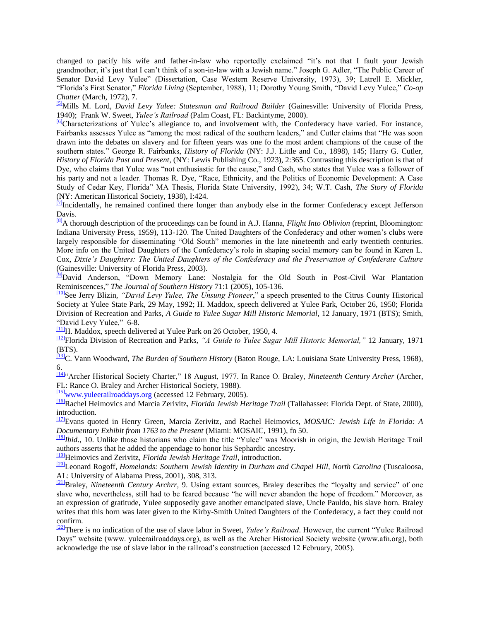changed to pacify his wife and father-in-law who reportedly exclaimed "it's not that I fault your Jewish grandmother, it's just that I can't think of a son-in-law with a Jewish name." Joseph G. Adler, "The Public Career of Senator David Levy Yulee" (Dissertation, Case Western Reserve University, 1973), 39; Latrell E. Mickler, "Florida's First Senator," *Florida Living* (September, 1988), 11; Dorothy Young Smith, "David Levy Yulee," *Co-op Chatter* (March, 1972), 7.

[\[5\]](http://fch.ju.edu/FCH-2006/Wiseman-David%20Levy%20Yulee.htm#_ednref5)Mills M. Lord, *David Levy Yulee: Statesman and Railroad Builder* (Gainesville: University of Florida Press, 1940); Frank W. Sweet, *Yulee's Railroad* (Palm Coast, FL: Backintyme, 2000).

[\[6\]](http://fch.ju.edu/FCH-2006/Wiseman-David%20Levy%20Yulee.htm#_ednref6)Characterizations of Yulee's allegiance to, and involvement with, the Confederacy have varied. For instance, Fairbanks assesses Yulee as "among the most radical of the southern leaders," and Cutler claims that "He was soon drawn into the debates on slavery and for fifteen years was one fo the most ardent champions of the cause of the southern states." George R. Fairbanks, *History of Florida* (NY: J.J. Little and Co., 1898), 145; Harry G. Cutler, *History of Florida Past and Present*, (NY: Lewis Publishing Co., 1923), 2:365. Contrasting this description is that of Dye, who claims that Yulee was "not enthusiastic for the cause," and Cash, who states that Yulee was a follower of his party and not a leader. Thomas R. Dye, "Race, Ethnicity, and the Politics of Economic Development: A Case Study of Cedar Key, Florida" MA Thesis, Florida State University, 1992), 34; W.T. Cash, *The Story of Florida* (NY: American Historical Society, 1938), I:424.

 $\frac{7}{10}$ Incidentally, he remained confined there longer than anybody else in the former Confederacy except Jefferson Davis.

[\[8\]](http://fch.ju.edu/FCH-2006/Wiseman-David%20Levy%20Yulee.htm#_ednref8)A thorough description of the proceedings can be found in A.J. Hanna, *Flight Into Oblivion* (reprint, Bloomington: Indiana University Press, 1959), 113-120. The United Daughters of the Confederacy and other women's clubs were largely responsible for disseminating "Old South" memories in the late nineteenth and early twentieth centuries. More info on the United Daughters of the Confederacy's role in shaping social memory can be found in Karen L. Cox, *Dixie's Daughters: The United Daughters of the Confederacy and the Preservation of Confederate Culture* (Gainesville: University of Florida Press, 2003).

[\[9\]](http://fch.ju.edu/FCH-2006/Wiseman-David%20Levy%20Yulee.htm#_ednref9)David Anderson, "Down Memory Lane: Nostalgia for the Old South in Post-Civil War Plantation Reminiscences," *The Journal of Southern History* 71:1 (2005), 105-136.

[\[10\]](http://fch.ju.edu/FCH-2006/Wiseman-David%20Levy%20Yulee.htm#_ednref10)See Jerry Blizin, *"David Levy Yulee, The Unsung Pioneer*," a speech presented to the Citrus County Historical Society at Yulee State Park, 29 May, 1992; H. Maddox, speech delivered at Yulee Park, October 26, 1950; Florida Division of Recreation and Parks, *A Guide to Yulee Sugar Mill Historic Memorial,* 12 January, 1971 (BTS); Smith, "David Levy Yulee," 6-8.

[\[11\]](http://fch.ju.edu/FCH-2006/Wiseman-David%20Levy%20Yulee.htm#_ednref11)H. Maddox, speech delivered at Yulee Park on 26 October, 1950, 4.

[\[12\]](http://fch.ju.edu/FCH-2006/Wiseman-David%20Levy%20Yulee.htm#_ednref12)Florida Division of Recreation and Parks, *"A Guide to Yulee Sugar Mill Historic Memorial,"* 12 January, 1971 (BTS).

[\[13\]](http://fch.ju.edu/FCH-2006/Wiseman-David%20Levy%20Yulee.htm#_ednref13)C. Vann Woodward, *The Burden of Southern History* (Baton Rouge, LA: Louisiana State University Press, 1968), 6.

[\[14\]](http://fch.ju.edu/FCH-2006/Wiseman-David%20Levy%20Yulee.htm#_ednref14)"Archer Historical Society Charter," 18 August, 1977. In Rance O. Braley, *Nineteenth Century Archer* (Archer, FL: Rance O. Braley and Archer Historical Society, 1988).

[\[15\]](http://fch.ju.edu/FCH-2006/Wiseman-David%20Levy%20Yulee.htm#_ednref15)[www.yuleerailroaddays.org](http://fch.ju.edu/FCH-2006/Wiseman-David%20Levy%20Yulee.htm#_ednref15) (accessed 12 February, 2005).

[\[16\]](http://fch.ju.edu/FCH-2006/Wiseman-David%20Levy%20Yulee.htm#_ednref16)Rachel Heimovics and Marcia Zerivitz, *Florida Jewish Heritage Trail* (Tallahassee: Florida Dept. of State, 2000), introduction.

[\[17\]](http://fch.ju.edu/FCH-2006/Wiseman-David%20Levy%20Yulee.htm#_ednref17)Evans quoted in Henry Green, Marcia Zerivitz, and Rachel Heimovics, *MOSAIC: Jewish Life in Florida: A Documentary Exhibit from 1763 to the Present* (Miami: MOSAIC, 1991), fn 50.

[\[18\]](http://fch.ju.edu/FCH-2006/Wiseman-David%20Levy%20Yulee.htm#_ednref18)*Ibid*., 10. Unlike those historians who claim the title "Yulee" was Moorish in origin, the Jewish Heritage Trail authors asserts that he added the appendage to honor his Sephardic ancestry.

[\[19\]](http://fch.ju.edu/FCH-2006/Wiseman-David%20Levy%20Yulee.htm#_ednref19)Heimovics and Zerivitz, *Florida Jewish Heritage Trail*, introduction.

[\[20\]](http://fch.ju.edu/FCH-2006/Wiseman-David%20Levy%20Yulee.htm#_ednref20)Leonard Rogoff, *Homelands: Southern Jewish Identity in Durham and Chapel Hill, North Carolina* (Tuscaloosa, AL: University of Alabama Press, 2001), 308, 313.

[\[21\]](http://fch.ju.edu/FCH-2006/Wiseman-David%20Levy%20Yulee.htm#_ednref21)Braley, *Nineteenth Century Archrr,* 9. Using extant sources, Braley describes the "loyalty and service" of one slave who, nevertheless, still had to be feared because "he will never abandon the hope of freedom." Moreover, as an expression of gratitude, Yulee supposedly gave another emancipated slave, Uncle Pauldo, his slave horn. Braley writes that this horn was later given to the Kirby-Smith United Daughters of the Confederacy, a fact they could not confirm.

[\[22\]](http://fch.ju.edu/FCH-2006/Wiseman-David%20Levy%20Yulee.htm#_ednref22)There is no indication of the use of slave labor in Sweet, *Yulee's Railroad*. However, the current "Yulee Railroad Days" website (www. yuleerailroaddays.org), as well as the Archer Historical Society website (www.afn.org), both acknowledge the use of slave labor in the railroad's construction (accessed 12 February, 2005).